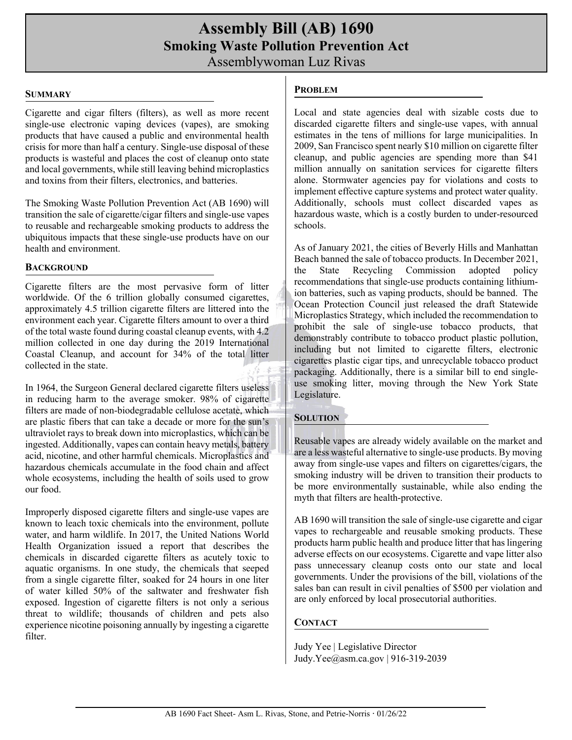# **Assembly Bill (AB) 1690 Smoking Waste Pollution Prevention Act** Assemblywoman Luz Rivas

#### **SUMMARY**

Cigarette and cigar filters (filters), as well as more recent single-use electronic vaping devices (vapes), are smoking products that have caused a public and environmental health crisis for more than half a century. Single-use disposal of these products is wasteful and places the cost of cleanup onto state and local governments, while still leaving behind microplastics and toxins from their filters, electronics, and batteries.

The Smoking Waste Pollution Prevention Act (AB 1690) will transition the sale of cigarette/cigar filters and single-use vapes to reusable and rechargeable smoking products to address the ubiquitous impacts that these single-use products have on our health and environment.

#### **BACKGROUND**

Cigarette filters are the most pervasive form of litter worldwide. Of the 6 trillion globally consumed cigarettes, approximately 4.5 trillion cigarette filters are littered into the environment each year. Cigarette filters amount to over a third of the total waste found during coastal cleanup events, with 4.2 million collected in one day during the 2019 International Coastal Cleanup, and account for 34% of the total litter collected in the state.

In 1964, the Surgeon General declared cigarette filters useless in reducing harm to the average smoker. 98% of cigarette filters are made of non-biodegradable cellulose acetate, which are plastic fibers that can take a decade or more for the sun's ultraviolet rays to break down into microplastics, which can be ingested. Additionally, vapes can contain heavy metals, battery acid, nicotine, and other harmful chemicals. Microplastics and hazardous chemicals accumulate in the food chain and affect whole ecosystems, including the health of soils used to grow our food.

Improperly disposed cigarette filters and single-use vapes are known to leach toxic chemicals into the environment, pollute water, and harm wildlife. In 2017, the United Nations World Health Organization issued a report that describes the chemicals in discarded cigarette filters as acutely toxic to aquatic organisms. In one study, the chemicals that seeped from a single cigarette filter, soaked for 24 hours in one liter of water killed 50% of the saltwater and freshwater fish exposed. Ingestion of cigarette filters is not only a serious threat to wildlife; thousands of children and pets also experience nicotine poisoning annually by ingesting a cigarette filter.

## **PROBLEM**

Local and state agencies deal with sizable costs due to discarded cigarette filters and single-use vapes, with annual estimates in the tens of millions for large municipalities. In 2009, San Francisco spent nearly \$10 million on cigarette filter cleanup, and public agencies are spending more than \$41 million annually on sanitation services for cigarette filters alone. Stormwater agencies pay for violations and costs to implement effective capture systems and protect water quality. Additionally, schools must collect discarded vapes as hazardous waste, which is a costly burden to under-resourced schools.

As of January 2021, the cities of Beverly Hills and Manhattan Beach banned the sale of tobacco products. In December 2021, the State Recycling Commission adopted policy recommendations that single-use products containing lithiumion batteries, such as vaping products, should be banned. The Ocean Protection Council just released the draft Statewide Microplastics Strategy, which included the recommendation to prohibit the sale of single-use tobacco products, that demonstrably contribute to tobacco product plastic pollution, including but not limited to cigarette filters, electronic cigarettes plastic cigar tips, and unrecyclable tobacco product packaging. Additionally, there is a similar bill to end singleuse smoking litter, moving through the New York State Legislature.

### **SOLUTION**

Reusable vapes are already widely available on the market and are a less wasteful alternative to single-use products. By moving away from single-use vapes and filters on cigarettes/cigars, the smoking industry will be driven to transition their products to be more environmentally sustainable, while also ending the myth that filters are health-protective.

AB 1690 will transition the sale of single-use cigarette and cigar vapes to rechargeable and reusable smoking products. These products harm public health and produce litter that has lingering adverse effects on our ecosystems. Cigarette and vape litter also pass unnecessary cleanup costs onto our state and local governments. Under the provisions of the bill, violations of the sales ban can result in civil penalties of \$500 per violation and are only enforced by local prosecutorial authorities.

# **CONTACT**

Judy Yee | Legislative Director Judy.Yee@asm.ca.gov | 916-319-2039